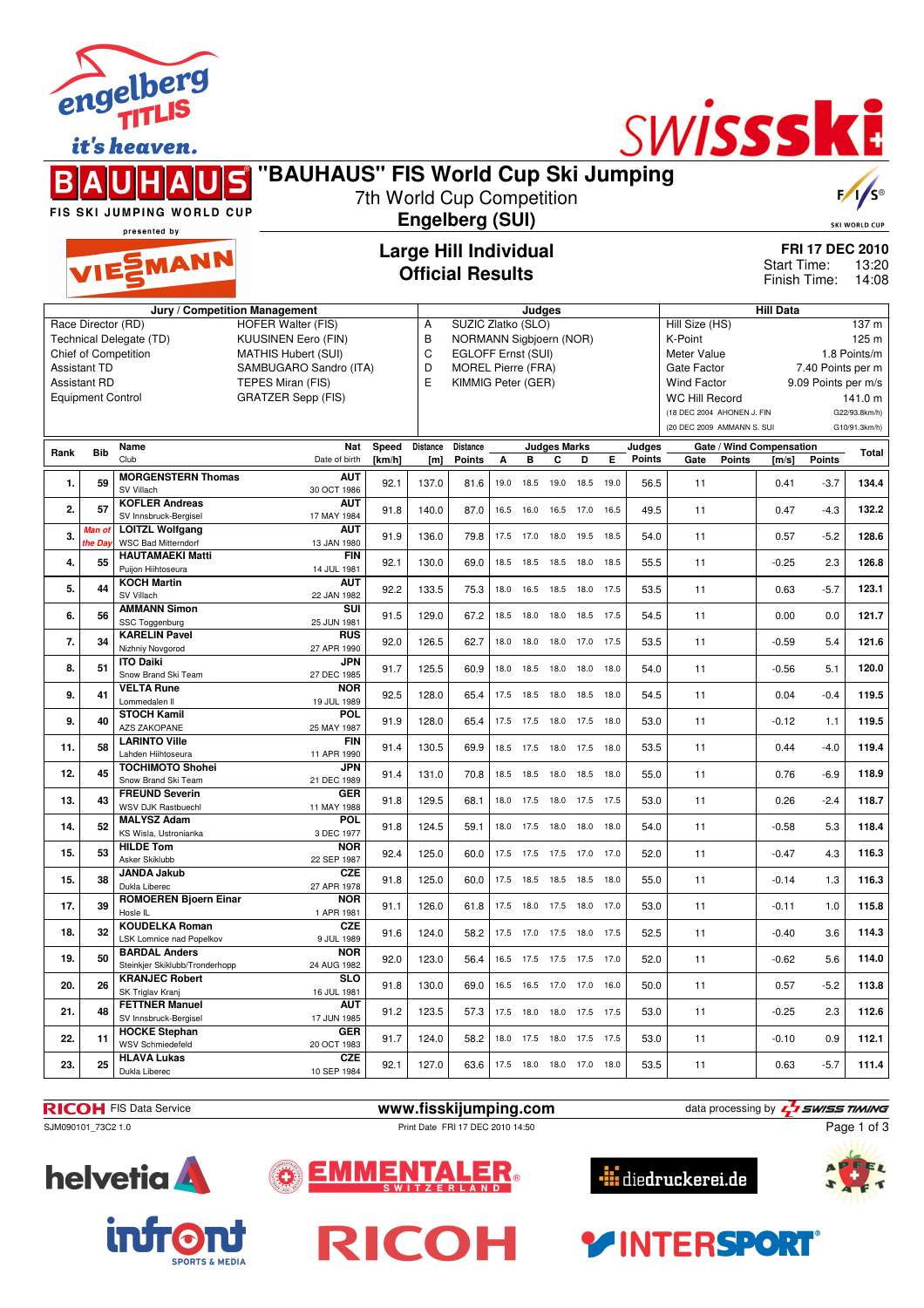|                                                                                                                                                                                                                                                                                                                                  |                                                                                                                                         | engelius<br>it's heaven.                                          |                                          |                                                         |                        |                                                                                                                        |      |        |                              |           |      |                  | SWISSSKE                                                                                                                                                                                                                                                                                                          |                                                                         |                                         |        |       |
|----------------------------------------------------------------------------------------------------------------------------------------------------------------------------------------------------------------------------------------------------------------------------------------------------------------------------------|-----------------------------------------------------------------------------------------------------------------------------------------|-------------------------------------------------------------------|------------------------------------------|---------------------------------------------------------|------------------------|------------------------------------------------------------------------------------------------------------------------|------|--------|------------------------------|-----------|------|------------------|-------------------------------------------------------------------------------------------------------------------------------------------------------------------------------------------------------------------------------------------------------------------------------------------------------------------|-------------------------------------------------------------------------|-----------------------------------------|--------|-------|
|                                                                                                                                                                                                                                                                                                                                  | "BAUHAUS" FIS World Cup Ski Jumping<br>7th World Cup Competition<br>FIS SKI JUMPING WORLD CUP<br><b>Engelberg (SUI)</b><br>presented by |                                                                   |                                          |                                                         |                        |                                                                                                                        |      |        |                              |           |      |                  |                                                                                                                                                                                                                                                                                                                   |                                                                         | $F/I/S^{\circ}$<br><b>SKI WORLD CUP</b> |        |       |
|                                                                                                                                                                                                                                                                                                                                  |                                                                                                                                         | <b>TIE EMANN</b>                                                  |                                          | <b>Large Hill Individual</b><br><b>Official Results</b> |                        |                                                                                                                        |      |        |                              |           |      |                  |                                                                                                                                                                                                                                                                                                                   | <b>FRI 17 DEC 2010</b><br>Start Time:<br>13:20<br>Finish Time:<br>14:08 |                                         |        |       |
| Jury / Competition Management<br><b>HOFER Walter (FIS)</b><br>Race Director (RD)<br>Technical Delegate (TD)<br>KUUSINEN Eero (FIN)<br>Chief of Competition<br><b>MATHIS Hubert (SUI)</b><br>Assistant TD<br>SAMBUGARO Sandro (ITA)<br>Assistant RD<br>TEPES Miran (FIS)<br><b>GRATZER Sepp (FIS)</b><br><b>Equipment Control</b> |                                                                                                                                         |                                                                   |                                          |                                                         | Α<br>B<br>C<br>D<br>E  | SUZIC Zlatko (SLO)<br>NORMANN Sigbjoern (NOR)<br>EGLOFF Ernst (SUI)<br><b>MOREL Pierre (FRA)</b><br>KIMMIG Peter (GER) |      | Judges |                              |           |      |                  | <b>Hill Data</b><br>Hill Size (HS)<br>137 m<br>K-Point<br>125 m<br>1.8 Points/m<br>Meter Value<br>Gate Factor<br>7.40 Points per m<br><b>Wind Factor</b><br>9.09 Points per m/s<br><b>WC Hill Record</b><br>141.0 m<br>(18 DEC 2004 AHONEN J. FIN<br>G22/93.8km/h)<br>(20 DEC 2009 AMMANN S. SUI<br>G10/91.3km/h) |                                                                         |                                         |        |       |
| Rank                                                                                                                                                                                                                                                                                                                             | <b>Bib</b>                                                                                                                              | Name<br>Club                                                      | Nat<br>Date of birth                     | Speed<br>[km/h]                                         | <b>Distance</b><br>[m] | <b>Distance</b><br>Points                                                                                              | А    | в      | Judges Marks<br>c            | D         | Е    | Judges<br>Points | Gate                                                                                                                                                                                                                                                                                                              | Points                                                                  | Gate / Wind Compensation<br>[m/s]       | Points | Total |
| 1.                                                                                                                                                                                                                                                                                                                               | 59                                                                                                                                      | <b>MORGENSTERN Thomas</b><br>SV Villach                           | AUT<br>30 OCT 1986                       | 92.1                                                    | 137.0                  | 81.6                                                                                                                   | 19.0 | 18.5   | 19.0                         | 18.5 19.0 |      | 56.5             | 11                                                                                                                                                                                                                                                                                                                |                                                                         | 0.41                                    | $-3.7$ | 134.4 |
| 2.                                                                                                                                                                                                                                                                                                                               | 57                                                                                                                                      | <b>KOFLER Andreas</b><br>SV Innsbruck-Bergisel                    | AUT<br>17 MAY 1984                       | 91.8                                                    | 140.0                  | 87.0                                                                                                                   | 16.5 | 16.0   | 16.5                         | 17.0 16.5 |      | 49.5             | 11                                                                                                                                                                                                                                                                                                                |                                                                         | 0.47                                    | $-4.3$ | 132.2 |
| 3.                                                                                                                                                                                                                                                                                                                               | <mark>Man o</mark> i<br>he Day                                                                                                          | <b>LOITZL Wolfgang</b><br><b>WSC Bad Mitterndorf</b>              | <b>AUT</b><br>13 JAN 1980                | 91.9                                                    | 136.0                  | 79.8                                                                                                                   | 17.5 | 17.0   | 18.0                         | 19.5      | 18.5 | 54.0             | 11                                                                                                                                                                                                                                                                                                                |                                                                         | 0.57                                    | $-5.2$ | 128.6 |
| 4.                                                                                                                                                                                                                                                                                                                               | 55                                                                                                                                      | <b>HAUTAMAEKI Matti</b><br>Puijon Hiihtoseura                     | <b>FIN</b><br>14 JUL 1981                | 92.1                                                    | 130.0                  | 69.0                                                                                                                   | 18.5 | 18.5   | 18.5 18.0 18.5               |           |      | 55.5             | 11                                                                                                                                                                                                                                                                                                                |                                                                         | $-0.25$                                 | 2.3    | 126.8 |
| 5.                                                                                                                                                                                                                                                                                                                               | 44                                                                                                                                      | <b>KOCH Martin</b><br>SV Villach                                  | AUT<br>22 JAN 1982                       | 92.2                                                    | 133.5                  | 75.3                                                                                                                   | 18.0 | 16.5   | 18.5                         | 18.0 17.5 |      | 53.5             | 11                                                                                                                                                                                                                                                                                                                |                                                                         | 0.63                                    | $-5.7$ | 123.1 |
| 6.                                                                                                                                                                                                                                                                                                                               | 56                                                                                                                                      | <b>AMMANN Simon</b><br>SSC Toggenburg                             | SUI<br>25 JUN 1981                       | 91.5                                                    | 129.0                  | 67.2                                                                                                                   | 18.5 | 18.0   | 18.0 18.5 17.5               |           |      | 54.5             | 11                                                                                                                                                                                                                                                                                                                |                                                                         | 0.00                                    | 0.0    | 121.7 |
| 7.                                                                                                                                                                                                                                                                                                                               | 34                                                                                                                                      | <b>KARELIN Pavel</b><br>Nizhniy Novgorod                          | <b>RUS</b><br>27 APR 1990                | 92.0                                                    | 126.5                  | 62.7                                                                                                                   | 18.0 | 18.0   | 18.0                         | 17.0 17.5 |      | 53.5             | 11                                                                                                                                                                                                                                                                                                                |                                                                         | $-0.59$                                 | 5.4    | 121.6 |
| 8.                                                                                                                                                                                                                                                                                                                               | 51                                                                                                                                      | <b>ITO Daiki</b><br>Snow Brand Ski Team                           | JPN<br>27 DEC 1985                       | 91.7                                                    | 125.5                  | 60.9                                                                                                                   | 18.0 | 18.5   | 18.0                         | 18.0      | 18.0 | 54.0             | 11                                                                                                                                                                                                                                                                                                                |                                                                         | $-0.56$                                 | 5.1    | 120.0 |
| 9.                                                                                                                                                                                                                                                                                                                               | 41                                                                                                                                      | <b>VELTA Rune</b><br>Lommedalen II                                | <b>NOR</b><br>19 JUL 1989                | 92.5                                                    | 128.0                  | 65.4                                                                                                                   | 17.5 | 18.5   | 18.0                         | 18.5 18.0 |      | 54.5             | 11                                                                                                                                                                                                                                                                                                                |                                                                         | 0.04                                    | $-0.4$ | 119.5 |
| 9.                                                                                                                                                                                                                                                                                                                               | 40                                                                                                                                      | <b>STOCH Kamil</b><br><b>AZS ZAKOPANE</b>                         | POL                                      | 91.9                                                    | 128.0                  | 65.4                                                                                                                   | 17.5 | 17.5   | 18.0 17.5 18.0               |           |      | 53.0             | 11                                                                                                                                                                                                                                                                                                                |                                                                         | -0.12                                   | 1.1    | 119.5 |
| 11.                                                                                                                                                                                                                                                                                                                              | 58                                                                                                                                      | <b>LARINTO Ville</b>                                              | 25 MAY 1987<br><b>FIN</b>                | 91.4                                                    | 130.5                  | 69.9                                                                                                                   | 18.5 | 17.5   | 18.0 17.5 18.0               |           |      | 53.5             | 11                                                                                                                                                                                                                                                                                                                |                                                                         | 0.44                                    | $-4.0$ | 119.4 |
| 12.                                                                                                                                                                                                                                                                                                                              | 45                                                                                                                                      | Lahden Hiihtoseura<br><b>TOCHIMOTO Shohei</b>                     | 11 APR 1990<br>JPN<br>21 DEC 1989        | 91.4                                                    | 131.0                  | 70.8                                                                                                                   |      |        | 18.5 18.5 18.0 18.5 18.0     |           |      | 55.0             | 11                                                                                                                                                                                                                                                                                                                |                                                                         | 0.76                                    | $-6.9$ | 118.9 |
| 13.                                                                                                                                                                                                                                                                                                                              | 43                                                                                                                                      | Snow Brand Ski Team<br><b>FREUND Severin</b>                      | GER                                      | 91.8                                                    | 129.5                  | 68.1                                                                                                                   | 18.0 |        | 17.5 18.0 17.5 17.5          |           |      | 53.0             | 11                                                                                                                                                                                                                                                                                                                |                                                                         | 0.26                                    | $-2.4$ | 118.7 |
| 14.                                                                                                                                                                                                                                                                                                                              | 52                                                                                                                                      | WSV DJK Rastbuechl<br><b>MALYSZ Adam</b><br>KS Wisla, Ustronianka | 11 MAY 1988<br><b>POL</b>                | 91.8                                                    | 124.5                  | 59.1                                                                                                                   |      |        | 18.0  17.5  18.0  18.0  18.0 |           |      | 54.0             | 11                                                                                                                                                                                                                                                                                                                |                                                                         | $-0.58$                                 | 5.3    | 118.4 |
| 15.                                                                                                                                                                                                                                                                                                                              | 53                                                                                                                                      | <b>HILDE Tom</b><br>Asker Skiklubb                                | 3 DEC 1977<br><b>NOR</b>                 | 92.4                                                    | 125.0                  | 60.0                                                                                                                   |      |        | 17.5 17.5 17.5 17.0 17.0     |           |      | 52.0             | 11                                                                                                                                                                                                                                                                                                                |                                                                         | $-0.47$                                 | 4.3    | 116.3 |
| 15.                                                                                                                                                                                                                                                                                                                              | 38                                                                                                                                      | <b>JANDA Jakub</b>                                                | 22 SEP 1987<br><b>CZE</b><br>27 APR 1978 | 91.8                                                    | 125.0                  | 60.0                                                                                                                   |      |        | 17.5  18.5  18.5  18.5  18.0 |           |      | 55.0             | 11                                                                                                                                                                                                                                                                                                                |                                                                         | $-0.14$                                 | 1.3    | 116.3 |
| 17.                                                                                                                                                                                                                                                                                                                              | 39                                                                                                                                      | Dukla Liberec<br><b>ROMOEREN Bjoern Einar</b>                     | <b>NOR</b>                               | 91.1                                                    | 126.0                  | 61.8                                                                                                                   |      |        | 17.5 18.0 17.5 18.0 17.0     |           |      | 53.0             | 11                                                                                                                                                                                                                                                                                                                |                                                                         | $-0.11$                                 | 1.0    | 115.8 |
| 18.                                                                                                                                                                                                                                                                                                                              | 32                                                                                                                                      | Hosle IL<br><b>KOUDELKA Roman</b><br>LSK Lomnice nad Popelkov     | 1 APR 1981<br><b>CZE</b><br>9 JUL 1989   | 91.6                                                    | 124.0                  | 58.2                                                                                                                   |      |        | 17.5 17.0 17.5 18.0 17.5     |           |      | 52.5             | 11                                                                                                                                                                                                                                                                                                                |                                                                         | $-0.40$                                 | 3.6    | 114.3 |
| 19.                                                                                                                                                                                                                                                                                                                              | 50                                                                                                                                      | <b>BARDAL Anders</b>                                              | <b>NOR</b>                               | 92.0                                                    | 123.0                  | 56.4                                                                                                                   | 16.5 |        | 17.5 17.5 17.5 17.0          |           |      | 52.0             | 11                                                                                                                                                                                                                                                                                                                |                                                                         | $-0.62$                                 | 5.6    | 114.0 |
| 20.                                                                                                                                                                                                                                                                                                                              | 26                                                                                                                                      | Steinkjer Skiklubb/Tronderhopp<br><b>KRANJEC Robert</b>           | 24 AUG 1982<br><b>SLO</b>                | 91.8                                                    | 130.0                  | 69.0                                                                                                                   | 16.5 |        | 16.5 17.0 17.0 16.0          |           |      | 50.0             | 11                                                                                                                                                                                                                                                                                                                |                                                                         | 0.57                                    | $-5.2$ | 113.8 |
| 21.                                                                                                                                                                                                                                                                                                                              | 48                                                                                                                                      | SK Triglav Kranj<br><b>FETTNER Manuel</b>                         | 16 JUL 1981<br>AUT<br>17 JUN 1985        | 91.2                                                    | 123.5                  | 57.3                                                                                                                   | 17.5 |        | 18.0 18.0 17.5 17.5          |           |      | 53.0             | 11                                                                                                                                                                                                                                                                                                                |                                                                         | $-0.25$                                 | 2.3    | 112.6 |
| 22.                                                                                                                                                                                                                                                                                                                              | 11                                                                                                                                      | SV Innsbruck-Bergisel<br><b>HOCKE Stephan</b><br>WSV Schmiedefeld | <b>GER</b><br>20 OCT 1983                | 91.7                                                    | 124.0                  | 58.2                                                                                                                   |      |        | 18.0 17.5 18.0 17.5 17.5     |           |      | 53.0             | 11                                                                                                                                                                                                                                                                                                                |                                                                         | $-0.10$                                 | 0.9    | 112.1 |



**23. 25 HLAVA Lukas** Dukla Liberec

engelberg

**RICOH** FIS Data Service **www.fisskijumping.com** data processing by  $\frac{7}{2}$  **SWISS TIMING** 

**CZE**

EMM

Ő

SJM090101\_73C2 1.0 Print Date FRI 17 DEC 2010 14:50



Page 1 of 3







ENTALER.



**CZE** 92.1 127.0 63.6 17.5 18.0 18.0 17.0 18.0 53.5 11 0.63 -5.7 111.4





![](_page_0_Picture_13.jpeg)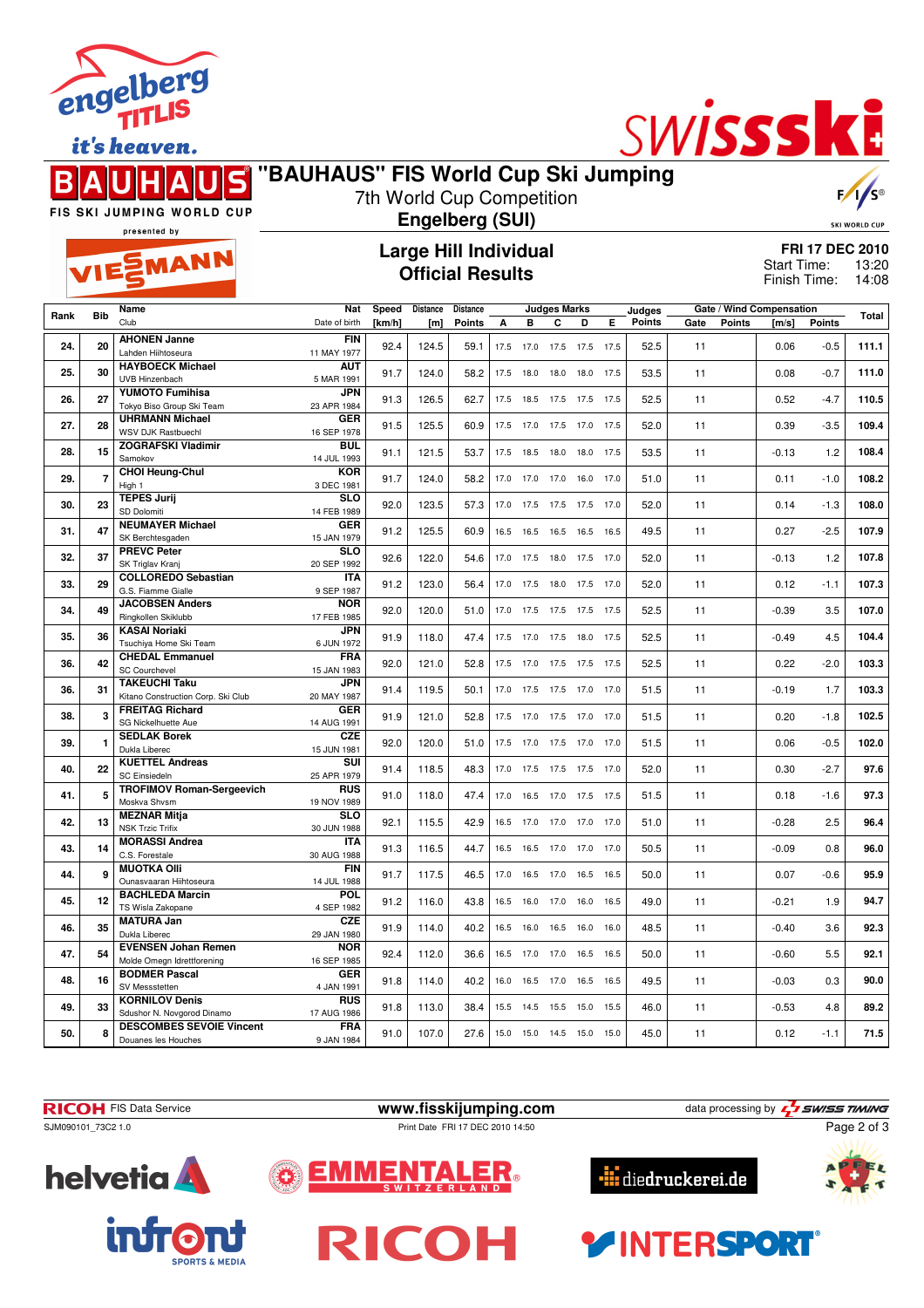![](_page_1_Picture_0.jpeg)

it's heaven.

## S R

![](_page_1_Picture_3.jpeg)

**"BAUHAUS" FIS World Cup Ski Jumping** 7th World Cup Competition **Engelberg (SUI) Large Hill Individual**

FIS SKI JUMPING WORLD CUP presented by

EMANN

## **Official Results**

**FRI 17 DEC 2010** 13:20 Finish Time: 14:08 Start Time:

5

SKI WORLD CUP

|      |                | Name                                                         | <b>Nat</b>                | Speed  | Distance | <b>Distance</b> |      | <b>Judges Marks</b> |                              |      |      | Judges | Gate / Wind Compensation |               |         |               |              |
|------|----------------|--------------------------------------------------------------|---------------------------|--------|----------|-----------------|------|---------------------|------------------------------|------|------|--------|--------------------------|---------------|---------|---------------|--------------|
| Rank | <b>Bib</b>     | Club                                                         | Date of birth             | [km/h] | [m]      | <b>Points</b>   | А    | в                   | C                            | D    | Е    | Points | Gate                     | <b>Points</b> | [m/s]   | <b>Points</b> | <b>Total</b> |
|      |                | <b>AHONEN Janne</b>                                          | <b>FIN</b>                |        |          |                 |      |                     |                              |      |      |        |                          |               |         |               |              |
| 24.  | 20             | Lahden Hiihtoseura                                           | 11 MAY 1977               | 92.4   | 124.5    | 59.1            | 17.5 | 17.0                | 17.5                         | 17.5 | 17.5 | 52.5   | 11                       |               | 0.06    | $-0.5$        | 111.1        |
| 25.  | 30             | <b>HAYBOECK Michael</b>                                      | <b>AUT</b>                | 91.7   | 124.0    | 58.2            | 17.5 | 18.0                | 18.0 18.0 17.5               |      |      | 53.5   | 11                       |               | 0.08    | $-0.7$        | 111.0        |
|      |                | UVB Hinzenbach                                               | 5 MAR 1991                |        |          |                 |      |                     |                              |      |      |        |                          |               |         |               |              |
| 26.  | 27             | <b>YUMOTO Fumihisa</b>                                       | <b>JPN</b>                | 91.3   | 126.5    | 62.7            | 17.5 | 18.5                | 17.5                         | 17.5 | 17.5 | 52.5   | 11                       |               | 0.52    | $-4.7$        | 110.5        |
|      |                | Tokyo Biso Group Ski Team                                    | 23 APR 1984               |        |          |                 |      |                     |                              |      |      |        |                          |               |         |               |              |
| 27.  | 28             | <b>UHRMANN Michael</b><br><b>WSV DJK Rastbuechl</b>          | <b>GER</b><br>16 SEP 1978 | 91.5   | 125.5    | 60.9            | 17.5 | 17.0                | 17.5                         | 17.0 | 17.5 | 52.0   | 11                       |               | 0.39    | $-3.5$        | 109.4        |
|      |                | <b>ZOGRAFSKI Vladimir</b>                                    | BUL                       |        |          |                 |      |                     |                              |      |      |        |                          |               |         |               |              |
| 28.  | 15             | Samokov                                                      | 14 JUL 1993               | 91.1   | 121.5    | 53.7            | 17.5 | 18.5                | 18.0 18.0                    |      | 17.5 | 53.5   | 11                       |               | $-0.13$ | $1.2$         | 108.4        |
| 29.  | $\overline{7}$ | <b>CHOI Heung-Chul</b>                                       | <b>KOR</b>                | 91.7   | 124.0    | 58.2            | 17.0 | 17.0                | 17.0                         | 16.0 | 17.0 | 51.0   | 11                       |               | 0.11    | $-1.0$        | 108.2        |
|      |                | High 1                                                       | 3 DEC 1981                |        |          |                 |      |                     |                              |      |      |        |                          |               |         |               |              |
| 30.  | 23             | <b>TEPES Jurij</b>                                           | <b>SLO</b>                | 92.0   | 123.5    | 57.3            | 17.0 |                     | 17.5 17.5 17.5 17.0          |      |      | 52.0   | 11                       |               | 0.14    | $-1.3$        | 108.0        |
|      |                | SD Dolomiti<br><b>NEUMAYER Michael</b>                       | 14 FEB 1989<br><b>GER</b> |        |          |                 |      |                     |                              |      |      |        |                          |               |         |               |              |
| 31.  | 47             | SK Berchtesgaden                                             | 15 JAN 1979               | 91.2   | 125.5    | 60.9            | 16.5 | 16.5                | 16.5 16.5                    |      | 16.5 | 49.5   | 11                       |               | 0.27    | $-2.5$        | 107.9        |
|      |                | <b>PREVC Peter</b>                                           | <b>SLO</b>                |        |          |                 |      |                     |                              |      |      |        |                          |               |         |               |              |
| 32.  | 37             | SK Triglav Krani                                             | 20 SEP 1992               | 92.6   | 122.0    | 54.6            | 17.0 | 17.5                | 18.0                         | 17.5 | 17.0 | 52.0   | 11                       |               | $-0.13$ | 1.2           | 107.8        |
| 33.  | 29             | <b>COLLOREDO Sebastian</b>                                   | <b>ITA</b>                | 91.2   | 123.0    | 56.4            | 17.0 |                     | 17.5 18.0 17.5 17.0          |      |      | 52.0   | 11                       |               | 0.12    | $-1.1$        | 107.3        |
|      |                | G.S. Fiamme Gialle                                           | 9 SEP 1987                |        |          |                 |      |                     |                              |      |      |        |                          |               |         |               |              |
| 34.  | 49             | <b>JACOBSEN Anders</b><br>Ringkollen Skiklubb                | <b>NOR</b><br>17 FEB 1985 | 92.0   | 120.0    | 51.0            | 17.0 | 17.5                | 17.5                         | 17.5 | 17.5 | 52.5   | 11                       |               | $-0.39$ | 3.5           | 107.0        |
|      |                | <b>KASAI Noriaki</b>                                         | <b>JPN</b>                |        |          |                 |      |                     |                              |      |      |        |                          |               |         |               |              |
| 35.  | 36             | Tsuchiva Home Ski Team                                       | 6 JUN 1972                | 91.9   | 118.0    | 47.4            | 17.5 | 17.0                | 17.5 18.0                    |      | 17.5 | 52.5   | 11                       |               | $-0.49$ | 4.5           | 104.4        |
| 36.  | 42             | <b>CHEDAL Emmanuel</b>                                       | <b>FRA</b>                | 92.0   | 121.0    | 52.8            |      |                     | 17.5 17.0 17.5 17.5 17.5     |      |      | 52.5   | 11                       |               | 0.22    | $-2.0$        | 103.3        |
|      |                | <b>SC Courchevel</b>                                         | 15 JAN 1983               |        |          |                 |      |                     |                              |      |      |        |                          |               |         |               |              |
| 36.  | 31             | <b>TAKEUCHI Taku</b>                                         | <b>JPN</b>                | 91.4   | 119.5    | 50.1            | 17.0 | 17.5                | 17.5 17.0                    |      | 17.0 | 51.5   | 11                       |               | $-0.19$ | 1.7           | 103.3        |
|      |                | Kitano Construction Corp. Ski Club<br><b>FREITAG Richard</b> | 20 MAY 1987<br><b>GER</b> |        |          |                 |      |                     |                              |      |      |        |                          |               |         |               |              |
| 38.  | 3              | SG Nickelhuette Aue                                          | 14 AUG 1991               | 91.9   | 121.0    | 52.8            | 17.5 | 17.0                | 17.5                         | 17.0 | 17.0 | 51.5   | 11                       |               | 0.20    | $-1.8$        | 102.5        |
|      |                | <b>SEDLAK Borek</b>                                          | <b>CZE</b>                |        |          |                 |      |                     |                              |      |      |        |                          |               |         |               |              |
| 39.  | 1              | Dukla Liberec                                                | 15 JUN 1981               | 92.0   | 120.0    | 51.0            | 17.5 |                     | 17.0 17.5 17.0 17.0          |      |      | 51.5   | 11                       |               | 0.06    | $-0.5$        | 102.0        |
| 40.  | 22             | <b>KUETTEL Andreas</b>                                       | SUI                       | 91.4   | 118.5    | 48.3            | 17.0 | 17.5                | 17.5 17.5                    |      | 17.0 | 52.0   | 11                       |               | 0.30    | $-2.7$        | 97.6         |
|      |                | <b>SC Einsiedeln</b>                                         | 25 APR 1979               |        |          |                 |      |                     |                              |      |      |        |                          |               |         |               |              |
| 41.  | 5              | <b>TROFIMOV Roman-Sergeevich</b><br>Moskva Shvsm             | <b>RUS</b><br>19 NOV 1989 | 91.0   | 118.0    | 47.4            | 17.0 | 16.5                | 17.0 17.5                    |      | 17.5 | 51.5   | 11                       |               | 0.18    | $-1.6$        | 97.3         |
|      |                | <b>MEZNAR Mitja</b>                                          | $\overline{\text{sLO}}$   |        |          |                 |      |                     |                              |      |      |        |                          |               |         |               |              |
| 42.  | 13             | <b>NSK Trzic Trifix</b>                                      | 30 JUN 1988               | 92.1   | 115.5    | 42.9            | 16.5 |                     | 17.0 17.0 17.0 17.0          |      |      | 51.0   | 11                       |               | $-0.28$ | 2.5           | 96.4         |
| 43.  | 14             | <b>MORASSI Andrea</b>                                        | <b>ITA</b>                | 91.3   | 116.5    | 44.7            | 16.5 | 16.5                | 17.0 17.0                    |      | 17.0 | 50.5   | 11                       |               | $-0.09$ | 0.8           | 96.0         |
|      |                | C.S. Forestale                                               | 30 AUG 1988               |        |          |                 |      |                     |                              |      |      |        |                          |               |         |               |              |
| 44.  | 9              | <b>MUOTKA OIII</b>                                           | <b>FIN</b>                | 91.7   | 117.5    | 46.5            | 17.0 |                     | 16.5 17.0 16.5               |      | 16.5 | 50.0   | 11                       |               | 0.07    | $-0.6$        | 95.9         |
|      |                | Ounasvaaran Hiihtoseura<br><b>BACHLEDA Marcin</b>            | 14 JUL 1988<br>POL        |        |          |                 |      |                     |                              |      |      |        |                          |               |         |               |              |
| 45.  | 12             | TS Wisla Zakopane                                            | 4 SEP 1982                | 91.2   | 116.0    | 43.8            | 16.5 |                     | 16.0 17.0 16.0               |      | 16.5 | 49.0   | 11                       |               | $-0.21$ | 1.9           | 94.7         |
|      |                | <b>MATURA Jan</b>                                            | <b>CZE</b>                |        |          |                 |      |                     |                              |      |      |        |                          |               |         |               |              |
| 46.  | 35             | Dukla Liberec                                                | 29 JAN 1980               | 91.9   | 114.0    | 40.2            | 16.5 | 16.0                | 16.5                         | 16.0 | 16.0 | 48.5   | 11                       |               | $-0.40$ | 3.6           | 92.3         |
| 47.  | 54             | <b>EVENSEN Johan Remen</b>                                   | <b>NOR</b>                | 92.4   | 112.0    | 36.6            | 16.5 |                     | 17.0 17.0 16.5 16.5          |      |      | 50.0   | 11                       |               | $-0.60$ | 5.5           | 92.1         |
|      |                | Molde Omegn Idrettforening                                   | 16 SEP 1985               |        |          |                 |      |                     |                              |      |      |        |                          |               |         |               |              |
| 48.  | 16             | <b>BODMER Pascal</b><br>SV Messstetten                       | <b>GER</b><br>4 JAN 1991  | 91.8   | 114.0    | 40.2            | 16.0 | 16.5                | 17.0                         | 16.5 | 16.5 | 49.5   | 11                       |               | $-0.03$ | 0.3           | 90.0         |
|      |                | <b>KORNILOV Denis</b>                                        | <b>RUS</b>                |        |          |                 |      |                     |                              |      |      |        |                          |               |         |               |              |
| 49.  | 33             | Sdushor N. Novgorod Dinamo                                   | 17 AUG 1986               | 91.8   | 113.0    | 38.4            | 15.5 | 14.5                | 15.5                         | 15.0 | 15.5 | 46.0   | 11                       |               | $-0.53$ | 4.8           | 89.2         |
| 50.  | 8              | <b>DESCOMBES SEVOIE Vincent</b>                              | <b>FRA</b>                | 91.0   | 107.0    | 27.6            |      |                     | 15.0  15.0  14.5  15.0  15.0 |      |      | 45.0   | 11                       |               | 0.12    | $-1.1$        | 71.5         |
|      |                | Douanes les Houches                                          | 9 JAN 1984                |        |          |                 |      |                     |                              |      |      |        |                          |               |         |               |              |

![](_page_1_Picture_9.jpeg)

![](_page_1_Picture_10.jpeg)

![](_page_1_Picture_11.jpeg)

![](_page_1_Picture_12.jpeg)

**AINTERSPORT** 

![](_page_1_Picture_13.jpeg)